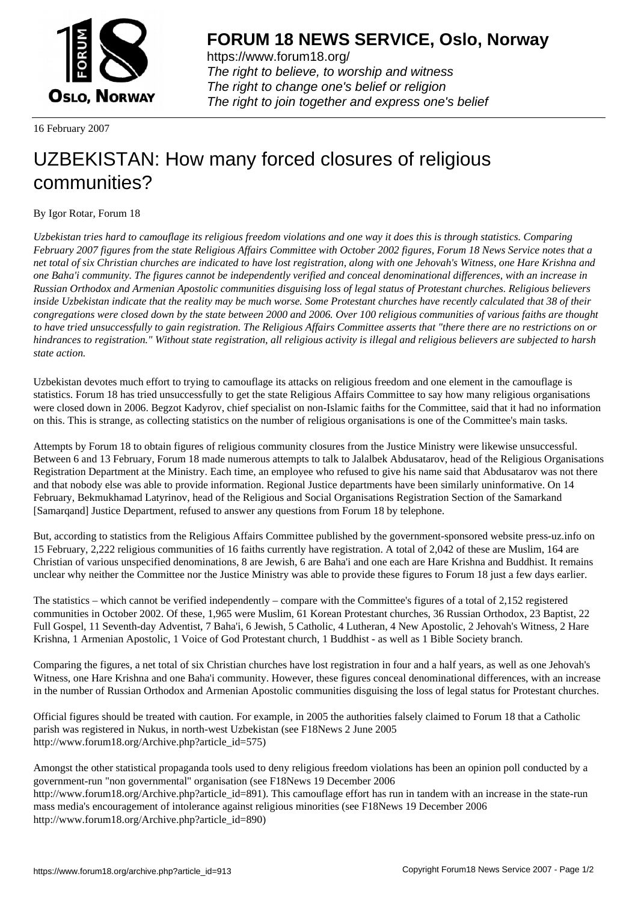

https://www.forum18.org/ The right to believe, to worship and witness The right to change one's belief or religion [The right to join together a](https://www.forum18.org/)nd express one's belief

16 February 2007

## [UZBEKISTAN:](https://www.forum18.org) How many forced closures of religious communities?

By Igor Rotar, Forum 18

*Uzbekistan tries hard to camouflage its religious freedom violations and one way it does this is through statistics. Comparing February 2007 figures from the state Religious Affairs Committee with October 2002 figures, Forum 18 News Service notes that a net total of six Christian churches are indicated to have lost registration, along with one Jehovah's Witness, one Hare Krishna and one Baha'i community. The figures cannot be independently verified and conceal denominational differences, with an increase in Russian Orthodox and Armenian Apostolic communities disguising loss of legal status of Protestant churches. Religious believers inside Uzbekistan indicate that the reality may be much worse. Some Protestant churches have recently calculated that 38 of their congregations were closed down by the state between 2000 and 2006. Over 100 religious communities of various faiths are thought to have tried unsuccessfully to gain registration. The Religious Affairs Committee asserts that "there there are no restrictions on or hindrances to registration." Without state registration, all religious activity is illegal and religious believers are subjected to harsh state action.*

Uzbekistan devotes much effort to trying to camouflage its attacks on religious freedom and one element in the camouflage is statistics. Forum 18 has tried unsuccessfully to get the state Religious Affairs Committee to say how many religious organisations were closed down in 2006. Begzot Kadyrov, chief specialist on non-Islamic faiths for the Committee, said that it had no information on this. This is strange, as collecting statistics on the number of religious organisations is one of the Committee's main tasks.

Attempts by Forum 18 to obtain figures of religious community closures from the Justice Ministry were likewise unsuccessful. Between 6 and 13 February, Forum 18 made numerous attempts to talk to Jalalbek Abdusatarov, head of the Religious Organisations Registration Department at the Ministry. Each time, an employee who refused to give his name said that Abdusatarov was not there and that nobody else was able to provide information. Regional Justice departments have been similarly uninformative. On 14 February, Bekmukhamad Latyrinov, head of the Religious and Social Organisations Registration Section of the Samarkand [Samarqand] Justice Department, refused to answer any questions from Forum 18 by telephone.

But, according to statistics from the Religious Affairs Committee published by the government-sponsored website press-uz.info on 15 February, 2,222 religious communities of 16 faiths currently have registration. A total of 2,042 of these are Muslim, 164 are Christian of various unspecified denominations, 8 are Jewish, 6 are Baha'i and one each are Hare Krishna and Buddhist. It remains unclear why neither the Committee nor the Justice Ministry was able to provide these figures to Forum 18 just a few days earlier.

The statistics – which cannot be verified independently – compare with the Committee's figures of a total of 2,152 registered communities in October 2002. Of these, 1,965 were Muslim, 61 Korean Protestant churches, 36 Russian Orthodox, 23 Baptist, 22 Full Gospel, 11 Seventh-day Adventist, 7 Baha'i, 6 Jewish, 5 Catholic, 4 Lutheran, 4 New Apostolic, 2 Jehovah's Witness, 2 Hare Krishna, 1 Armenian Apostolic, 1 Voice of God Protestant church, 1 Buddhist - as well as 1 Bible Society branch.

Comparing the figures, a net total of six Christian churches have lost registration in four and a half years, as well as one Jehovah's Witness, one Hare Krishna and one Baha'i community. However, these figures conceal denominational differences, with an increase in the number of Russian Orthodox and Armenian Apostolic communities disguising the loss of legal status for Protestant churches.

Official figures should be treated with caution. For example, in 2005 the authorities falsely claimed to Forum 18 that a Catholic parish was registered in Nukus, in north-west Uzbekistan (see F18News 2 June 2005 http://www.forum18.org/Archive.php?article\_id=575)

Amongst the other statistical propaganda tools used to deny religious freedom violations has been an opinion poll conducted by a government-run "non governmental" organisation (see F18News 19 December 2006 http://www.forum18.org/Archive.php?article\_id=891). This camouflage effort has run in tandem with an increase in the state-run mass media's encouragement of intolerance against religious minorities (see F18News 19 December 2006 http://www.forum18.org/Archive.php?article\_id=890)